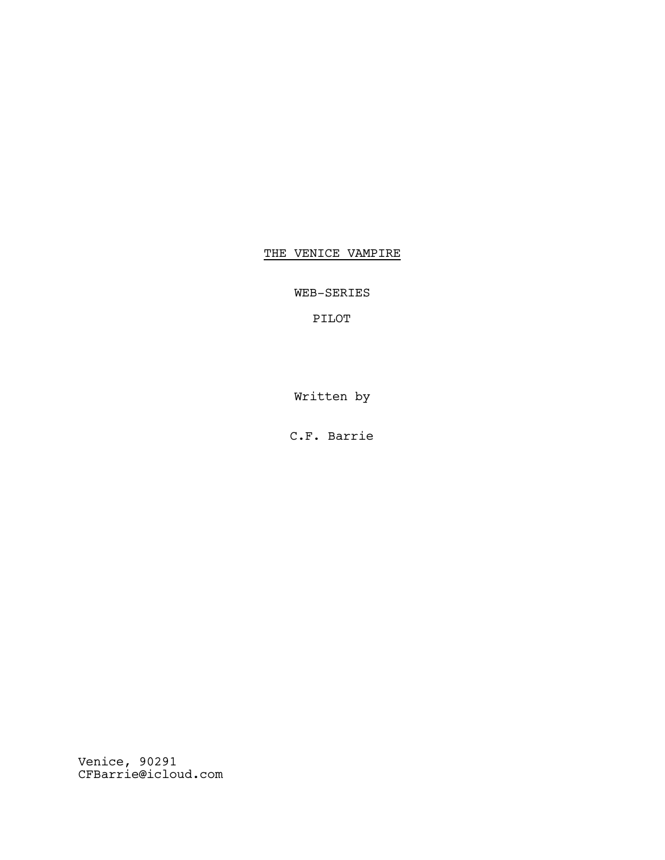# THE VENICE VAMPIRE

WEB-SERIES

PILOT

Written by

C.F. Barrie

Venice, 90291 CFBarrie@icloud.com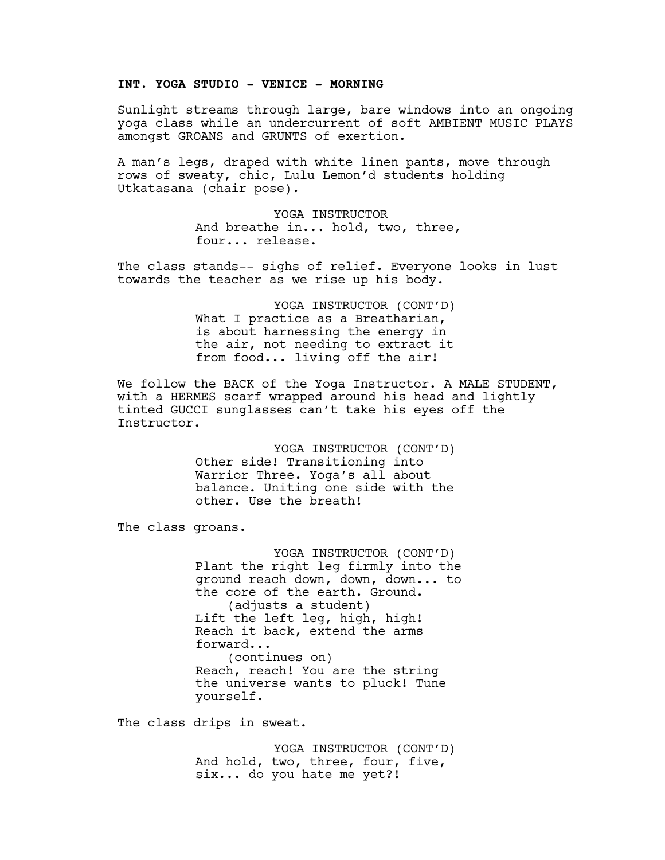# **INT. YOGA STUDIO - VENICE - MORNING**

Sunlight streams through large, bare windows into an ongoing yoga class while an undercurrent of soft AMBIENT MUSIC PLAYS amongst GROANS and GRUNTS of exertion.

A man's legs, draped with white linen pants, move through rows of sweaty, chic, Lulu Lemon'd students holding Utkatasana (chair pose).

> YOGA INSTRUCTOR And breathe in... hold, two, three, four... release.

The class stands-- sighs of relief. Everyone looks in lust towards the teacher as we rise up his body.

> YOGA INSTRUCTOR (CONT'D) What I practice as a Breatharian, is about harnessing the energy in the air, not needing to extract it from food... living off the air!

We follow the BACK of the Yoga Instructor. A MALE STUDENT, with a HERMES scarf wrapped around his head and lightly tinted GUCCI sunglasses can't take his eyes off the Instructor.

> YOGA INSTRUCTOR (CONT'D) Other side! Transitioning into Warrior Three. Yoga's all about balance. Uniting one side with the other. Use the breath!

The class groans.

YOGA INSTRUCTOR (CONT'D) Plant the right leg firmly into the ground reach down, down, down... to the core of the earth. Ground. (adjusts a student) Lift the left leg, high, high! Reach it back, extend the arms forward... (continues on) Reach, reach! You are the string the universe wants to pluck! Tune yourself.

The class drips in sweat.

YOGA INSTRUCTOR (CONT'D) And hold, two, three, four, five, six... do you hate me yet?!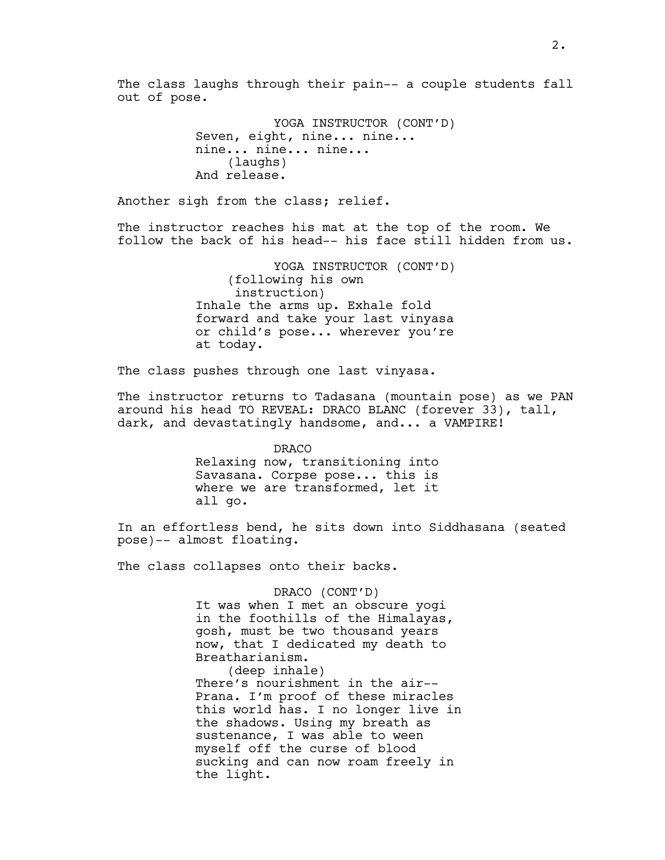The class laughs through their pain-- a couple students fall out of pose.

```
YOGA INSTRUCTOR (CONT'D)
Seven, eight, nine... nine...
nine... nine... nine...
    (laughs)
And release.
```
Another sigh from the class; relief.

The instructor reaches his mat at the top of the room. We follow the back of his head-- his face still hidden from us.

> YOGA INSTRUCTOR (CONT'D) (following his own instruction) Inhale the arms up. Exhale fold forward and take your last vinyasa or child's pose... wherever you're at today.

The class pushes through one last vinyasa.

The instructor returns to Tadasana (mountain pose) as we PAN around his head TO REVEAL: DRACO BLANC (forever 33), tall, dark, and devastatingly handsome, and... a VAMPIRE!

> DRACO Relaxing now, transitioning into Savasana. Corpse pose... this is where we are transformed, let it all go.

In an effortless bend, he sits down into Siddhasana (seated pose)-- almost floating.

The class collapses onto their backs.

DRACO (CONT'D) It was when I met an obscure yogi in the foothills of the Himalayas, gosh, must be two thousand years now, that I dedicated my death to Breatharianism.

(deep inhale) There's nourishment in the air-- Prana. I'm proof of these miracles this world has. I no longer live in the shadows. Using my breath as sustenance, I was able to ween myself off the curse of blood sucking and can now roam freely in the light.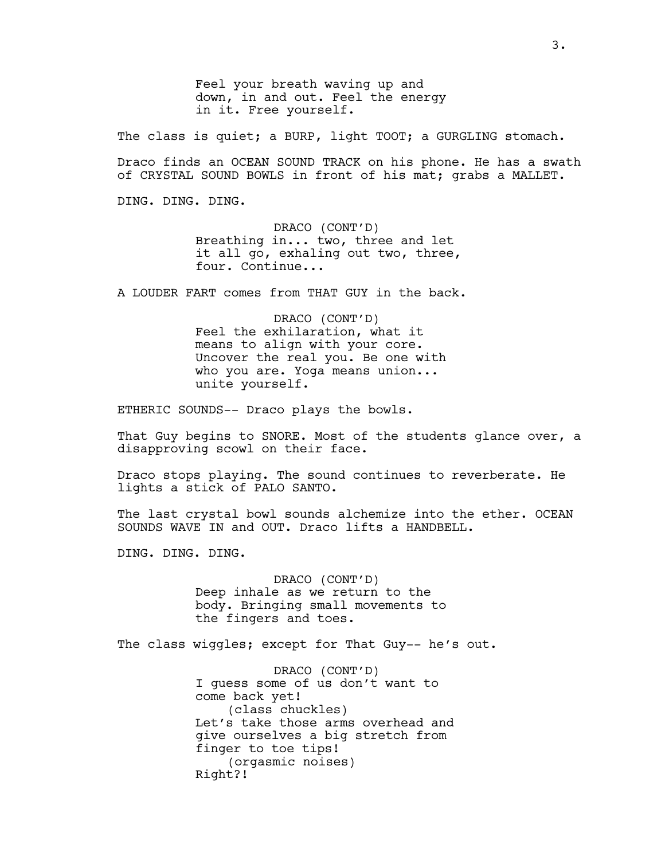Feel your breath waving up and down, in and out. Feel the energy in it. Free yourself.

The class is quiet; a BURP, light TOOT; a GURGLING stomach.

Draco finds an OCEAN SOUND TRACK on his phone. He has a swath of CRYSTAL SOUND BOWLS in front of his mat; grabs a MALLET.

DING. DING. DING.

DRACO (CONT'D) Breathing in... two, three and let it all go, exhaling out two, three, four. Continue...

A LOUDER FART comes from THAT GUY in the back.

DRACO (CONT'D) Feel the exhilaration, what it means to align with your core. Uncover the real you. Be one with who you are. Yoga means union... unite yourself.

ETHERIC SOUNDS-- Draco plays the bowls.

That Guy begins to SNORE. Most of the students glance over, a disapproving scowl on their face.

Draco stops playing. The sound continues to reverberate. He lights a stick of PALO SANTO.

The last crystal bowl sounds alchemize into the ether. OCEAN SOUNDS WAVE IN and OUT. Draco lifts a HANDBELL.

DING. DING. DING.

DRACO (CONT'D) Deep inhale as we return to the body. Bringing small movements to the fingers and toes.

The class wiggles; except for That Guy-- he's out.

DRACO (CONT'D) I guess some of us don't want to come back yet! (class chuckles) Let's take those arms overhead and give ourselves a big stretch from finger to toe tips! (orgasmic noises) Right?!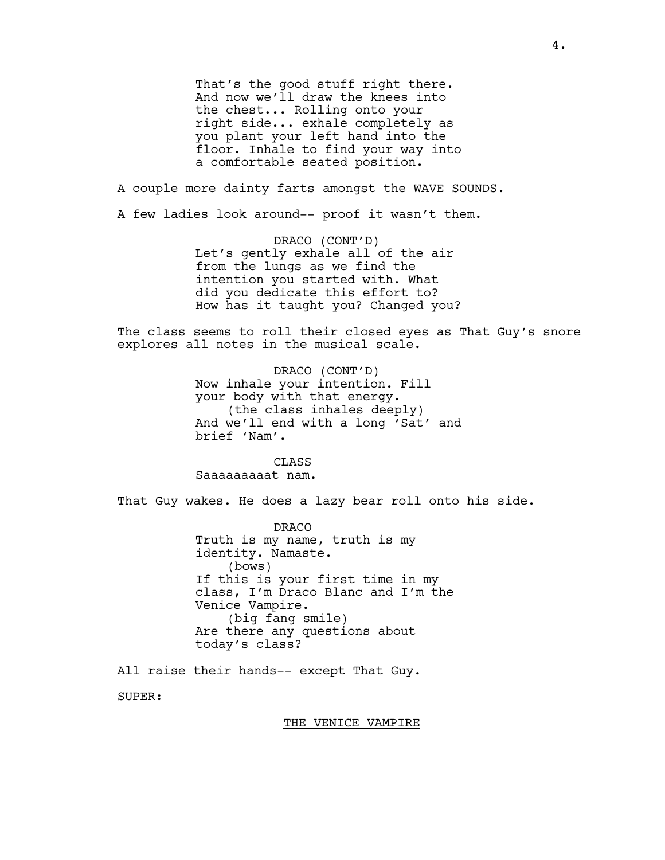That's the good stuff right there. And now we'll draw the knees into the chest... Rolling onto your right side... exhale completely as you plant your left hand into the floor. Inhale to find your way into a comfortable seated position.

A couple more dainty farts amongst the WAVE SOUNDS.

A few ladies look around-- proof it wasn't them.

DRACO (CONT'D) Let's gently exhale all of the air from the lungs as we find the intention you started with. What did you dedicate this effort to? How has it taught you? Changed you?

The class seems to roll their closed eyes as That Guy's snore explores all notes in the musical scale.

> DRACO (CONT'D) Now inhale your intention. Fill your body with that energy. (the class inhales deeply) And we'll end with a long 'Sat' and brief 'Nam'.

CLASS Saaaaaaaaat nam.

That Guy wakes. He does a lazy bear roll onto his side.

DRACO Truth is my name, truth is my identity. Namaste. (bows) If this is your first time in my class, I'm Draco Blanc and I'm the Venice Vampire. (big fang smile) Are there any questions about today's class?

All raise their hands-- except That Guy.

SUPER:

THE VENICE VAMPIRE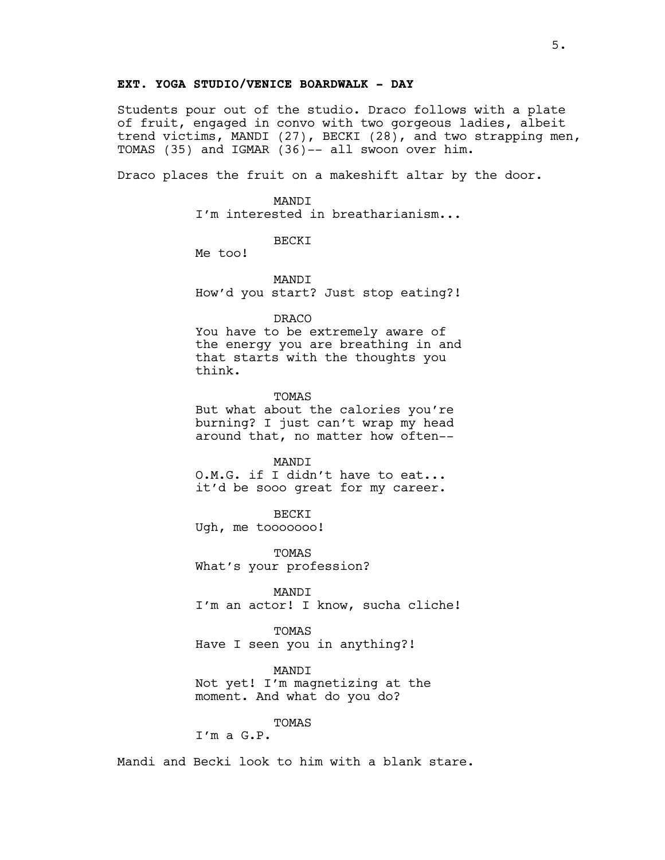# **EXT. YOGA STUDIO/VENICE BOARDWALK - DAY**

Students pour out of the studio. Draco follows with a plate of fruit, engaged in convo with two gorgeous ladies, albeit trend victims, MANDI (27), BECKI (28), and two strapping men, TOMAS (35) and IGMAR (36)-- all swoon over him.

Draco places the fruit on a makeshift altar by the door.

MANDI I'm interested in breatharianism...

BECKI

Me too!

**MANDT** 

How'd you start? Just stop eating?!

#### DRACO

You have to be extremely aware of the energy you are breathing in and that starts with the thoughts you think.

**TOMAS** But what about the calories you're burning? I just can't wrap my head around that, no matter how often--

MANDI O.M.G. if I didn't have to eat... it'd be sooo great for my career.

BECKI Ugh, me tooooooo!

TOMAS What's your profession?

MANDI I'm an actor! I know, sucha cliche!

TOMAS Have I seen you in anything?!

MANDI Not yet! I'm magnetizing at the moment. And what do you do?

TOMAS

I'm a G.P.

Mandi and Becki look to him with a blank stare.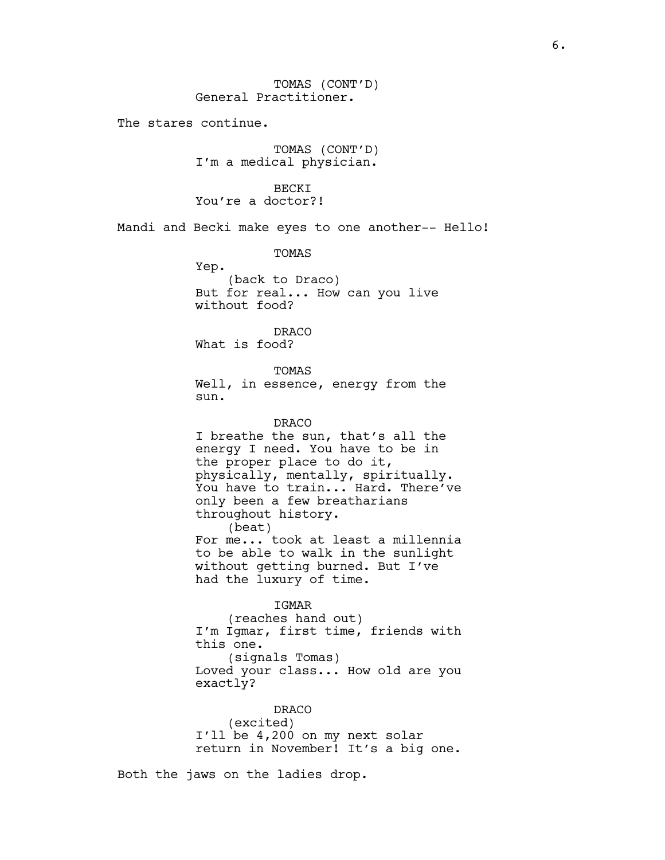The stares continue.

TOMAS (CONT'D) I'm a medical physician.

**BECKT** You're a doctor?!

Mandi and Becki make eyes to one another-- Hello!

TOMAS

Yep. (back to Draco) But for real... How can you live without food?

DRACO What is food?

TOMAS

Well, in essence, energy from the sun.

DRACO I breathe the sun, that's all the energy I need. You have to be in the proper place to do it, physically, mentally, spiritually. You have to train... Hard. There've only been a few breatharians throughout history. (beat) For me... took at least a millennia to be able to walk in the sunlight without getting burned. But I've had the luxury of time.

IGMAR

(reaches hand out) I'm Igmar, first time, friends with this one. (signals Tomas) Loved your class... How old are you exactly?

DRACO (excited) I'll be 4,200 on my next solar return in November! It's a big one.

Both the jaws on the ladies drop.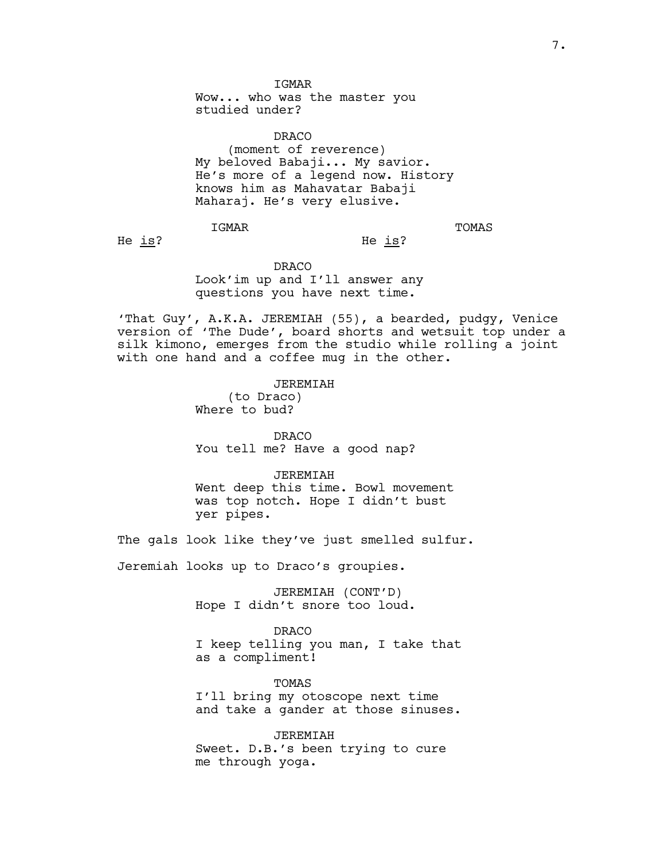**TGMAR** 

Wow... who was the master you studied under?

DRACO (moment of reverence) My beloved Babaji... My savior. He's more of a legend now. History knows him as Mahavatar Babaji Maharaj. He's very elusive.

IGMAR

TOMAS

He is?

DRACO Look'im up and I'll answer any questions you have next time.

'That Guy', A.K.A. JEREMIAH (55), a bearded, pudgy, Venice version of 'The Dude', board shorts and wetsuit top under a silk kimono, emerges from the studio while rolling a joint with one hand and a coffee mug in the other.

He is?

JEREMIAH (to Draco) Where to bud?

DRACO You tell me? Have a good nap?

JEREMIAH Went deep this time. Bowl movement was top notch. Hope I didn't bust yer pipes.

The gals look like they've just smelled sulfur.

Jeremiah looks up to Draco's groupies.

JEREMIAH (CONT'D) Hope I didn't snore too loud.

DRACO I keep telling you man, I take that as a compliment!

TOMAS I'll bring my otoscope next time and take a gander at those sinuses.

JEREMIAH Sweet. D.B.'s been trying to cure me through yoga.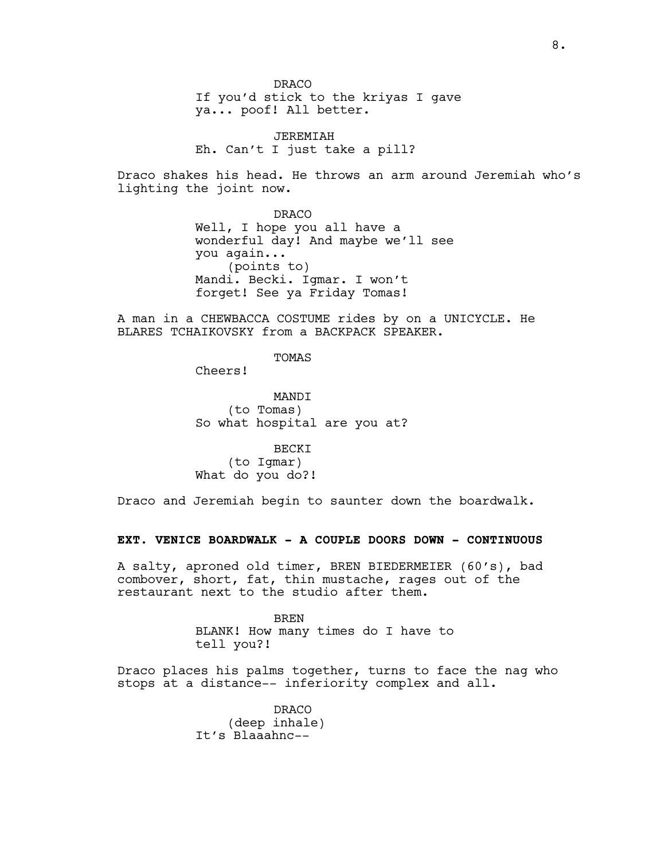DRACO If you'd stick to the kriyas I gave ya... poof! All better.

JEREMIAH Eh. Can't I just take a pill?

Draco shakes his head. He throws an arm around Jeremiah who's lighting the joint now.

> DRACO Well, I hope you all have a wonderful day! And maybe we'll see you again... (points to) Mandi. Becki. Igmar. I won't forget! See ya Friday Tomas!

A man in a CHEWBACCA COSTUME rides by on a UNICYCLE. He BLARES TCHAIKOVSKY from a BACKPACK SPEAKER.

TOMAS

Cheers!

**MANDT** (to Tomas) So what hospital are you at?

BECKI (to Igmar) What do you do?!

Draco and Jeremiah begin to saunter down the boardwalk.

# **EXT. VENICE BOARDWALK - A COUPLE DOORS DOWN - CONTINUOUS**

A salty, aproned old timer, BREN BIEDERMEIER (60's), bad combover, short, fat, thin mustache, rages out of the restaurant next to the studio after them.

> BREN BLANK! How many times do I have to tell you?!

Draco places his palms together, turns to face the nag who stops at a distance-- inferiority complex and all.

> DRACO (deep inhale) It's Blaaahnc--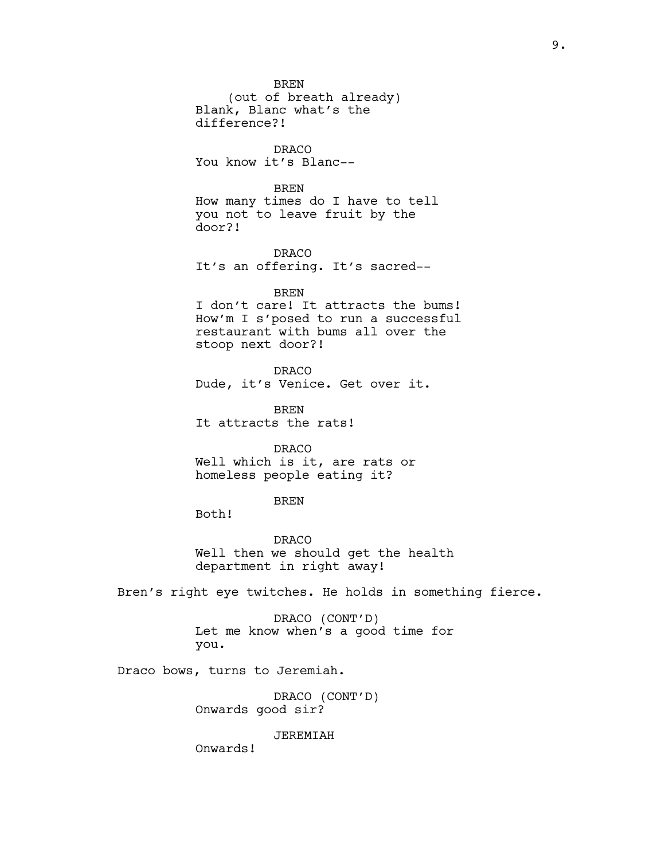BREN (out of breath already) Blank, Blanc what's the difference?!

DRACO You know it's Blanc--

BREN

How many times do I have to tell you not to leave fruit by the door?!

DRACO It's an offering. It's sacred--

BREN

I don't care! It attracts the bums! How'm I s'posed to run a successful restaurant with bums all over the stoop next door?!

DRACO

Dude, it's Venice. Get over it.

BREN It attracts the rats!

DRACO Well which is it, are rats or homeless people eating it?

# BREN

Both!

DRACO Well then we should get the health department in right away!

Bren's right eye twitches. He holds in something fierce.

DRACO (CONT'D) Let me know when's a good time for you.

Draco bows, turns to Jeremiah.

DRACO (CONT'D) Onwards good sir?

JEREMIAH

Onwards!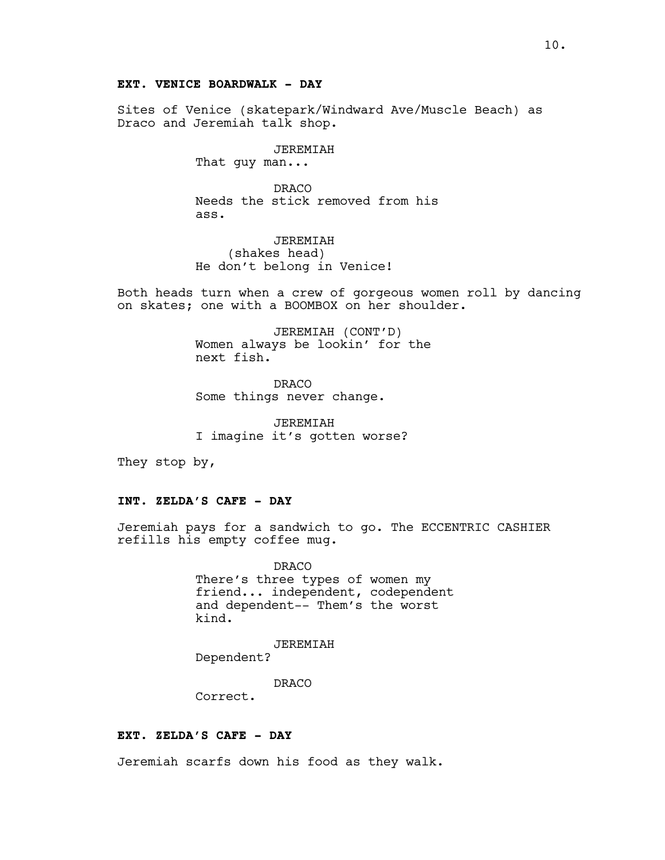# **EXT. VENICE BOARDWALK - DAY**

Sites of Venice (skatepark/Windward Ave/Muscle Beach) as Draco and Jeremiah talk shop.

# JEREMIAH

That quy man...

DRACO Needs the stick removed from his ass.

JEREMIAH (shakes head) He don't belong in Venice!

Both heads turn when a crew of gorgeous women roll by dancing on skates; one with a BOOMBOX on her shoulder.

> JEREMIAH (CONT'D) Women always be lookin' for the next fish.

DRACO Some things never change.

JEREMIAH I imagine it's gotten worse?

They stop by,

# **INT. ZELDA'S CAFE - DAY**

Jeremiah pays for a sandwich to go. The ECCENTRIC CASHIER refills his empty coffee mug.

> DRACO There's three types of women my friend... independent, codependent and dependent-- Them's the worst kind.

JEREMIAH Dependent?

DRACO

Correct.

# **EXT. ZELDA'S CAFE - DAY**

Jeremiah scarfs down his food as they walk.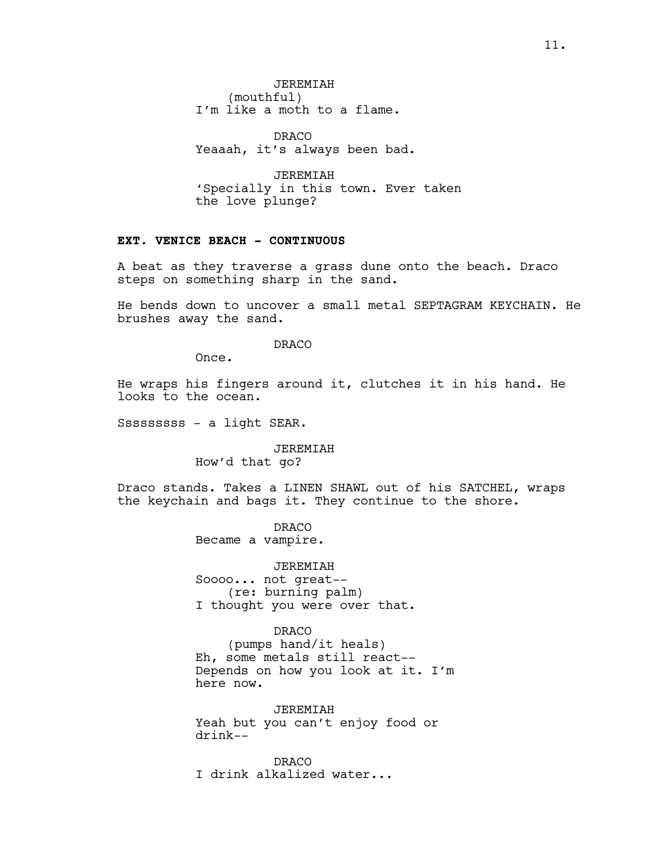JEREMIAH (mouthful) I'm like a moth to a flame.

DRACO Yeaaah, it's always been bad.

JEREMIAH 'Specially in this town. Ever taken the love plunge?

# **EXT. VENICE BEACH - CONTINUOUS**

A beat as they traverse a grass dune onto the beach. Draco steps on something sharp in the sand.

He bends down to uncover a small metal SEPTAGRAM KEYCHAIN. He brushes away the sand.

# DRACO

Once.

He wraps his fingers around it, clutches it in his hand. He looks to the ocean.

Sssssssss - a light SEAR.

# JEREMIAH How'd that go?

Draco stands. Takes a LINEN SHAWL out of his SATCHEL, wraps the keychain and bags it. They continue to the shore.

> DRACO Became a vampire.

JEREMIAH Soooo... not great-- (re: burning palm) I thought you were over that.

DRACO

(pumps hand/it heals) Eh, some metals still react-- Depends on how you look at it. I'm here now.

JEREMIAH Yeah but you can't enjoy food or drink--

DRACO I drink alkalized water...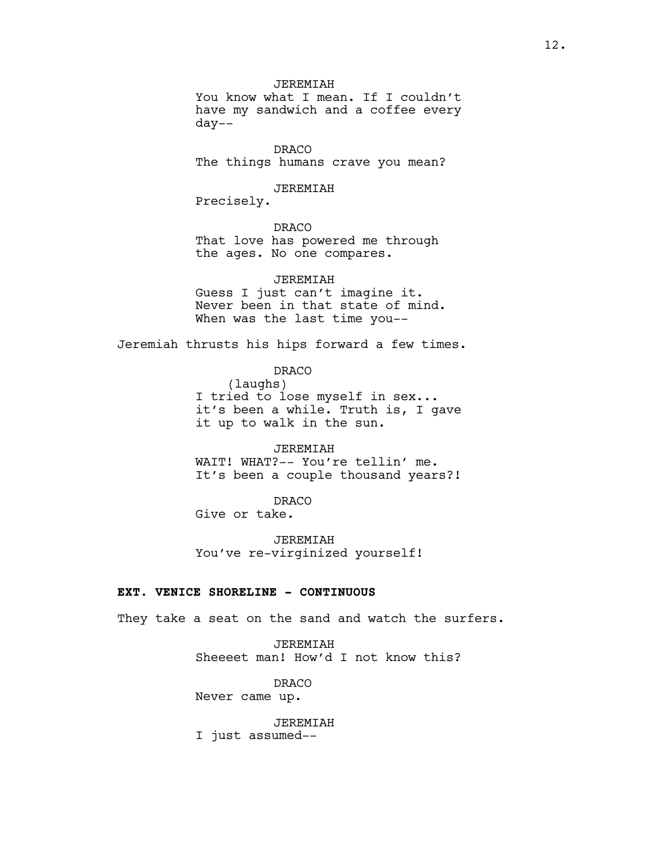**JEREMIAH** 

You know what I mean. If I couldn't have my sandwich and a coffee every day--

DRACO The things humans crave you mean?

#### JEREMIAH

Precisely.

#### DRACO

That love has powered me through the ages. No one compares.

JEREMIAH Guess I just can't imagine it. Never been in that state of mind. When was the last time you--

Jeremiah thrusts his hips forward a few times.

DRACO (laughs) I tried to lose myself in sex... it's been a while. Truth is, I gave it up to walk in the sun.

JEREMIAH WAIT! WHAT?-- You're tellin' me. It's been a couple thousand years?!

DRACO Give or take.

**JEREMIAH** You've re-virginized yourself!

# **EXT. VENICE SHORELINE - CONTINUOUS**

They take a seat on the sand and watch the surfers.

JEREMIAH Sheeeet man! How'd I not know this?

DRACO Never came up.

JEREMIAH I just assumed--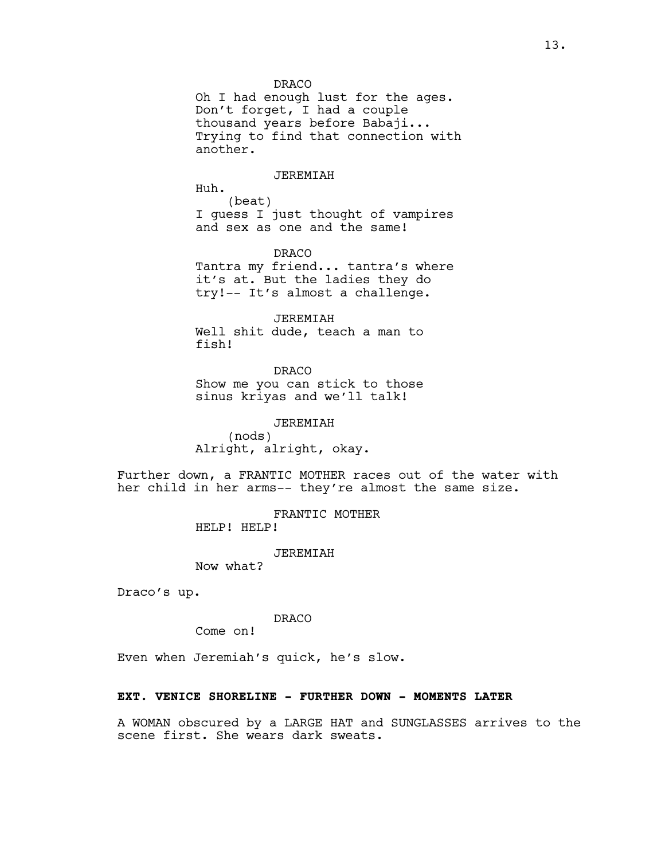DRACO

Oh I had enough lust for the ages. Don't forget, I had a couple thousand years before Babaji... Trying to find that connection with another.

#### JEREMIAH

Huh.

(beat) I guess I just thought of vampires and sex as one and the same!

DRACO Tantra my friend... tantra's where it's at. But the ladies they do try!-- It's almost a challenge.

JEREMIAH Well shit dude, teach a man to fish!

DRACO Show me you can stick to those sinus kriyas and we'll talk!

JEREMIAH (nods) Alright, alright, okay.

Further down, a FRANTIC MOTHER races out of the water with her child in her arms-- they're almost the same size.

> FRANTIC MOTHER HELP! HELP!

> > JEREMIAH

Now what?

Draco's up.

DRACO

Come on!

Even when Jeremiah's quick, he's slow.

#### **EXT. VENICE SHORELINE - FURTHER DOWN - MOMENTS LATER**

A WOMAN obscured by a LARGE HAT and SUNGLASSES arrives to the scene first. She wears dark sweats.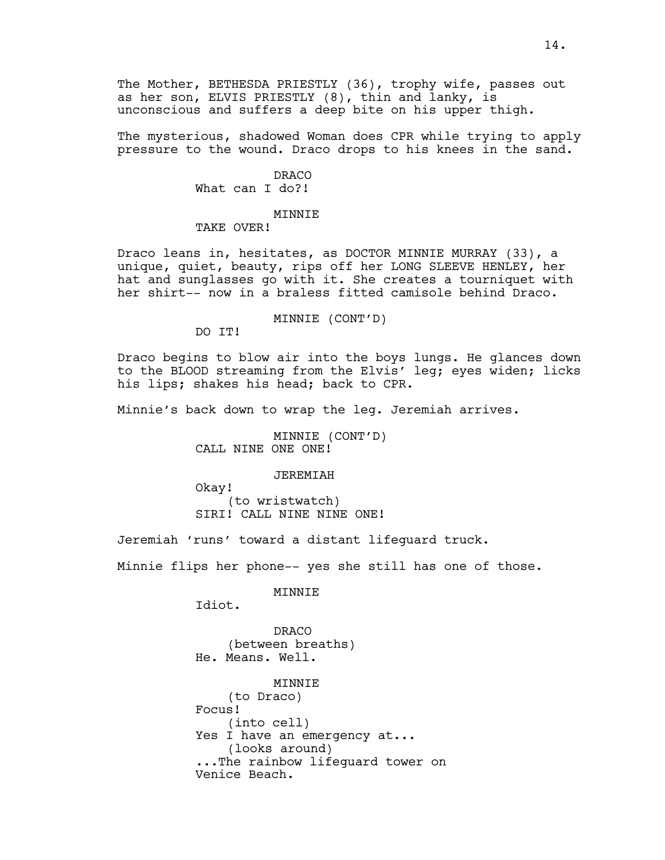The Mother, BETHESDA PRIESTLY (36), trophy wife, passes out as her son, ELVIS PRIESTLY (8), thin and lanky, is unconscious and suffers a deep bite on his upper thigh.

The mysterious, shadowed Woman does CPR while trying to apply pressure to the wound. Draco drops to his knees in the sand.

> DRACO What can I do?!

#### MINNIE TAKE OVER!

Draco leans in, hesitates, as DOCTOR MINNIE MURRAY (33), a unique, quiet, beauty, rips off her LONG SLEEVE HENLEY, her hat and sunglasses go with it. She creates a tourniquet with her shirt-- now in a braless fitted camisole behind Draco.

# MINNIE (CONT'D)

DO IT!

Draco begins to blow air into the boys lungs. He glances down to the BLOOD streaming from the Elvis' leg; eyes widen; licks his lips; shakes his head; back to CPR.

Minnie's back down to wrap the leg. Jeremiah arrives.

MINNIE (CONT'D) CALL NINE ONE ONE!

#### JEREMIAH

Okay! (to wristwatch) SIRI! CALL NINE NINE ONE!

Jeremiah 'runs' toward a distant lifeguard truck.

Minnie flips her phone-- yes she still has one of those.

MINNIE

Idiot.

DRACO (between breaths) He. Means. Well.

**MINNIE** (to Draco) Focus! (into cell) Yes I have an emergency at... (looks around) ...The rainbow lifeguard tower on Venice Beach.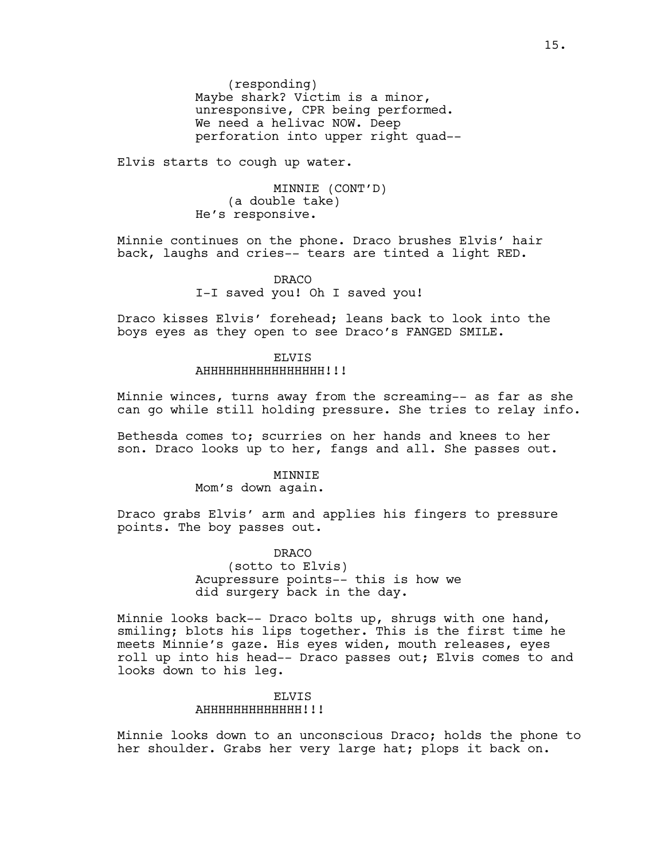(responding) Maybe shark? Victim is a minor, unresponsive, CPR being performed. We need a helivac NOW. Deep perforation into upper right quad--

Elvis starts to cough up water.

MINNIE (CONT'D) (a double take) He's responsive.

Minnie continues on the phone. Draco brushes Elvis' hair back, laughs and cries-- tears are tinted a light RED.

> DRACO I-I saved you! Oh I saved you!

Draco kisses Elvis' forehead; leans back to look into the boys eyes as they open to see Draco's FANGED SMILE.

#### ELVIS AHHHHHHHHHHHHH!!!

Minnie winces, turns away from the screaming-- as far as she can go while still holding pressure. She tries to relay info.

Bethesda comes to; scurries on her hands and knees to her son. Draco looks up to her, fangs and all. She passes out.

#### MINNIE

Mom's down again.

Draco grabs Elvis' arm and applies his fingers to pressure points. The boy passes out.

DRACO

(sotto to Elvis) Acupressure points-- this is how we did surgery back in the day.

Minnie looks back-- Draco bolts up, shrugs with one hand, smiling; blots his lips together. This is the first time he meets Minnie's gaze. His eyes widen, mouth releases, eyes roll up into his head-- Draco passes out; Elvis comes to and looks down to his leg.

# ELVIS AHHHHHHHHHHH!!!

Minnie looks down to an unconscious Draco; holds the phone to her shoulder. Grabs her very large hat; plops it back on.